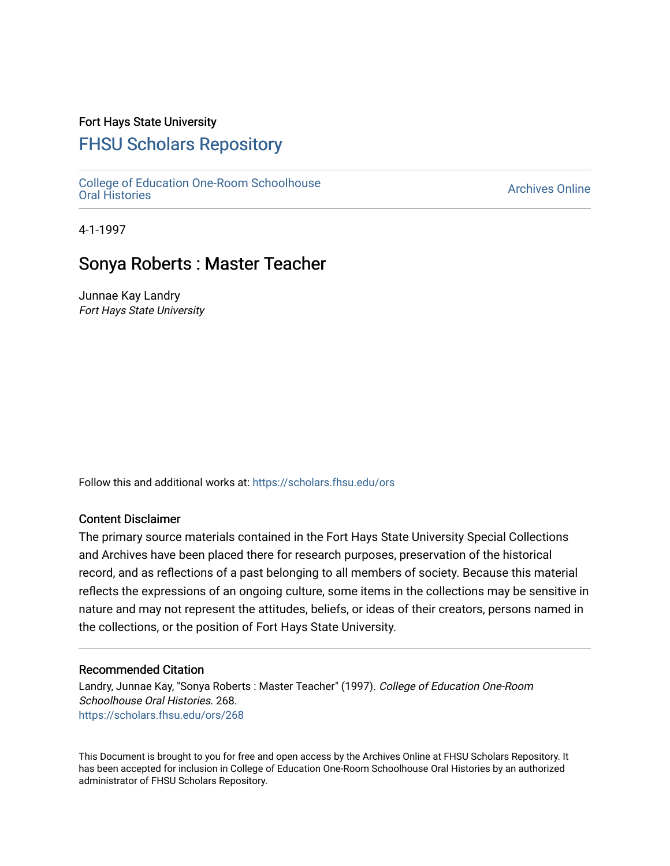### Fort Hays State University

# [FHSU Scholars Repository](https://scholars.fhsu.edu/)

[College of Education One-Room Schoolhouse](https://scholars.fhsu.edu/ors)<br>Oral Histories College of Education Orle-Room Schoolhouse<br>[Oral Histories](https://scholars.fhsu.edu/ors) Archives Online

4-1-1997

## Sonya Roberts : Master Teacher

Junnae Kay Landry Fort Hays State University

Follow this and additional works at: [https://scholars.fhsu.edu/ors](https://scholars.fhsu.edu/ors?utm_source=scholars.fhsu.edu%2Fors%2F268&utm_medium=PDF&utm_campaign=PDFCoverPages) 

#### Content Disclaimer

The primary source materials contained in the Fort Hays State University Special Collections and Archives have been placed there for research purposes, preservation of the historical record, and as reflections of a past belonging to all members of society. Because this material reflects the expressions of an ongoing culture, some items in the collections may be sensitive in nature and may not represent the attitudes, beliefs, or ideas of their creators, persons named in the collections, or the position of Fort Hays State University.

#### Recommended Citation

Landry, Junnae Kay, "Sonya Roberts : Master Teacher" (1997). College of Education One-Room Schoolhouse Oral Histories. 268. [https://scholars.fhsu.edu/ors/268](https://scholars.fhsu.edu/ors/268?utm_source=scholars.fhsu.edu%2Fors%2F268&utm_medium=PDF&utm_campaign=PDFCoverPages) 

This Document is brought to you for free and open access by the Archives Online at FHSU Scholars Repository. It has been accepted for inclusion in College of Education One-Room Schoolhouse Oral Histories by an authorized administrator of FHSU Scholars Repository.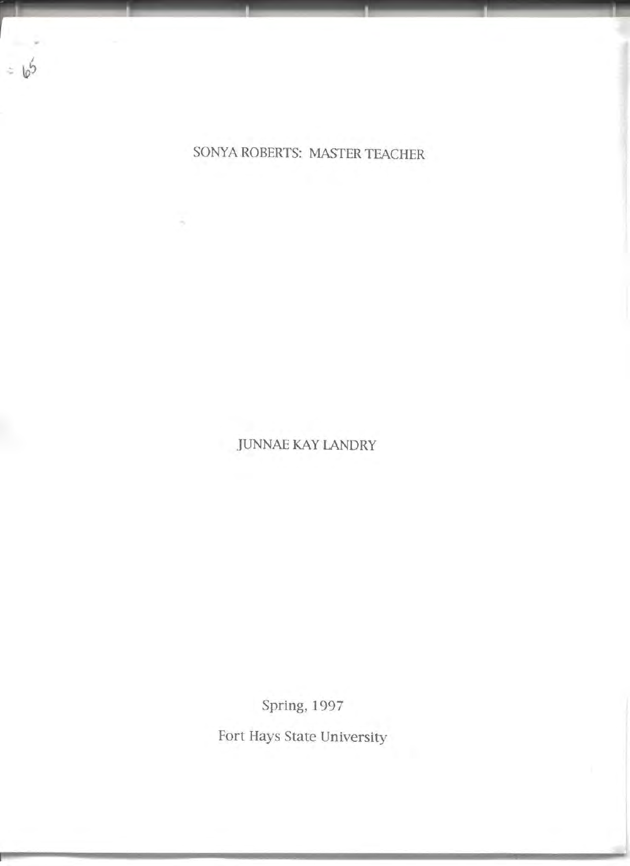

SONYA ROBERTS: MASTER TEACHER

JUNNAE KAY LANDRY

Spring, 1 997

Fort Hays State University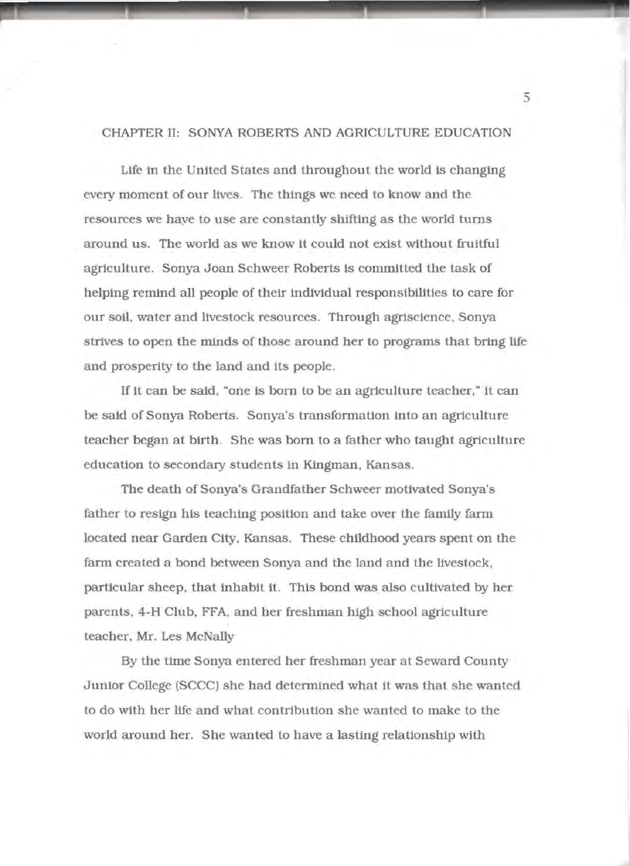### CHAPTER ll: SONYA ROBERTS AND AGRICULTURE EDUCATION

Life in the United States and throughout the world is changing every moment of our lives. The things we need to know and the resources we have to use are constantly shifting as the world turns around us. The world as we know it could not exist Without fruitful agriculture. Sonya Joan Schweer Roberts is committed the task of helping remind all people of their individual responsibilities to care for our soil, water and livestock resources. Through agrisclence, Sonya strives to open the minds of those around her to programs that bring life and prosperity to the land and its people.

If it can be said, "one is born to be an agriculture teacher," it can be said of Sonya Roberts. Sonya's transformation into an agriculture teacher began at birth. She was born to a father who taught agriculture education to secondary students in Kingman. Kansas.

The death of Sonya's Grandfather Schweer motivated Sonya's father to resign his teaching position and take over the family farm located near Garden City, Kansas. These childhood years spent on the farm created a bond between Sonya and the land and the livestock, particular sheep, that inhabit it. This bond was also cultivated by her parents. 4-H Club, FFA, and her freshman high school agriculture teacher, Mr. Les McNally

By the time Sonya entered her freshman year at Seward County Junior College (SCCC) she had determined what it was that she wanted to do With her life and what contribution she wanted to make to the world around her. She wanted to have a lasting relationship With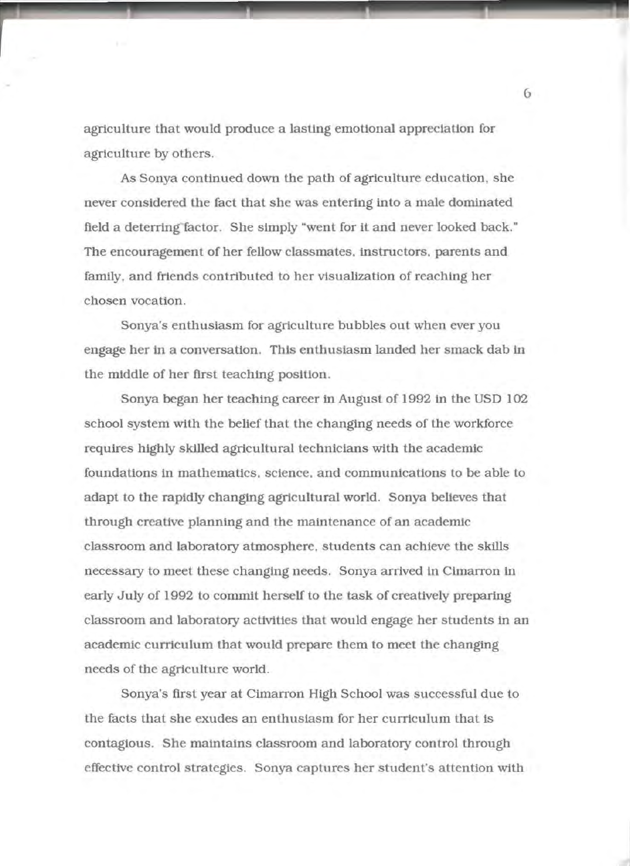agriculture that would produce a lasting emotional appreciation for agriculture by others.

As Sonya continued down the path of agriculture education, she never considered the fact that she was entering into a male dominated field a deterring factor. She simply "went for it and never looked back." The encouragement of her fellow classmates, instructors, parents and family, and friends contributed to her visualization of reaching her chosen vocation.

Sonya's enthusiasm for agriculture bubbles out when ever you engage her in a conversation. This enthusiasm landed her smack dab in the middle of her first teaching position.

Sonya began her teaching career in August of 1992 in the USD 102 school system with the belief that the changing needs of the workforce requires highly skilled agricultural technicians with the academic foundations in mathematics, science, and communications to be able to adapt to the rapidly changing agricultural world. Sonya believes that through creative planning and the maintenance of an academic classroom and laboratory atmosphere, students can achieve the skills necessary to meet these changing needs. Sonya arrived tn Cimarron in early July of 1992 to commit herself to the task of creatively preparing classroom and laboratory activities that would engage her students in an academic curriculum that would prepare them to meet the changing needs of the agriculture world.

Sonya's first year at Cimarron High School was successful due to the facts that she exudes an enthusiasm for her curriculum that is contagious. She maintains classroom and laboratory control through effective control strategies. Sonya captures her student's attention with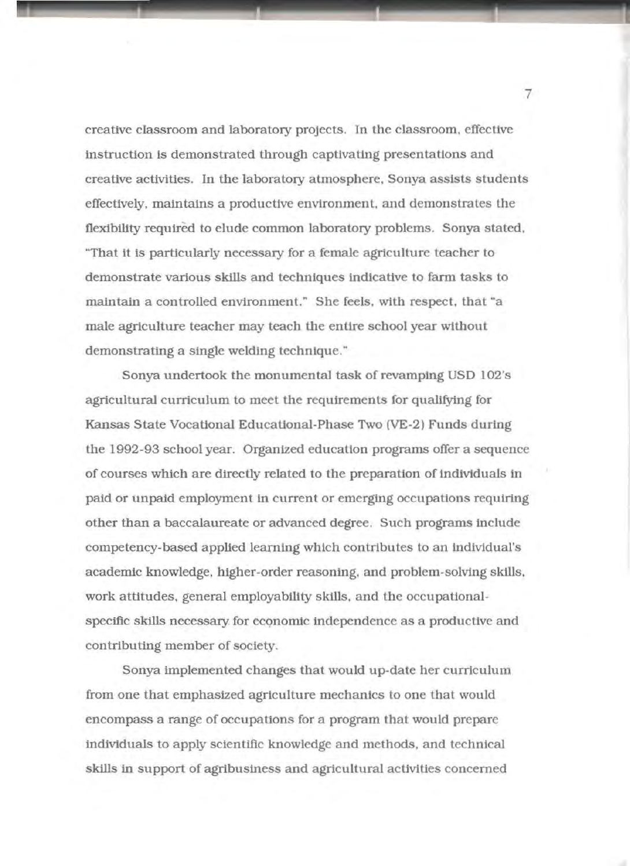creative classroom and laboratory projects. In the classroom. effective instruction is demonstrated through captivating presentations and creative activities. In the laboratory atmosphere. Sonya assists students effectively, maintains a productive environment, and demonstrates the flexlbllity required to elude common laboratory problems. Sonya stated, "That it is partlcularly necessary for a female agriculture teacher to demonstrate various skills and techniques indicative to farm tasks to maintain a controlled environment." She feels, with respect, that "a male agriculture teacher may teach the entire school year without demonstrating a single welding technique."

Sonya undertook the monumental task of revamping USO 102's agricultural curriculum to meet the requirements for quallfytng for Kansas State Vocational Educational-Phase Two (VE-2) Funds during the 1992-93 school year. Organized education programs offer a sequence of courses which are directly related to the preparation of individuals in paid or unpaid employment in current or emerging occupations requiring other than a baccalaureate or advanced degree. Such programs include competency-based applied learning which contributes to an individual's academic knowledge, higher-order reasoning. and problem-solving skills. work attitudes, general employability skills, and the occupationalspecific skills necessary for economic independence as a productive and contributing member of society.

Sonya implemented changes that would up-date her curriculum from one that emphasized agriculture mechanics to one that would encompass a range of occupations for a program that would prepare individuals to apply scientific knowledge and methods, and technical skills in support of agribusiness and agricultural activities concerned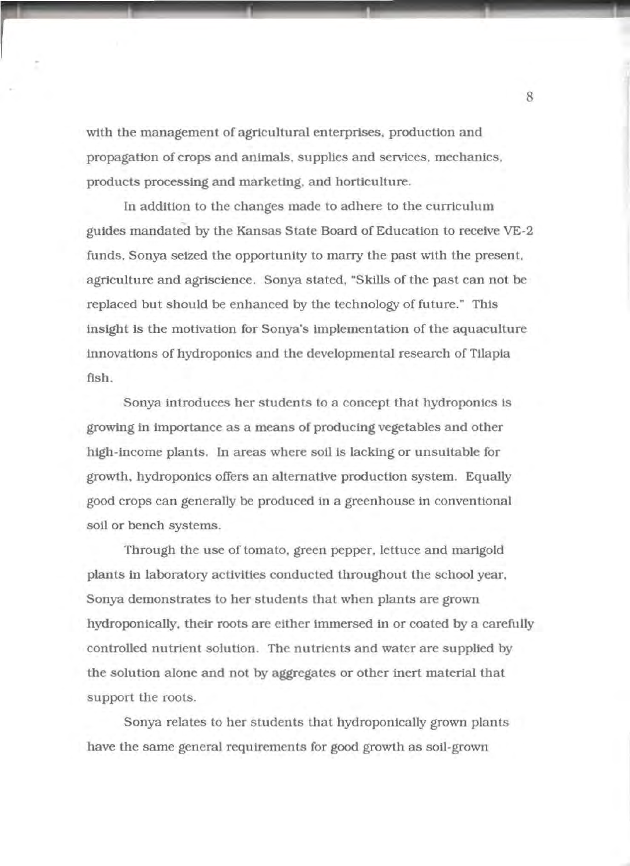with the management of agricultural enterprises, production and propagation of crops and animals, supplies and services, mechanics, products processing and marketing, and horticulture.

.\_\_\_\_\_\_\_\_\_. \_\_\_\_\_\_\_\_\_\_ , \_\_\_\_\_\_ , \_\_\_\_\_\_ ......\_\_..

In addition to the changes made to adhere to the curriculum guides mandated by the Kansas State Board of Education to receive VE-2 funds, Sonya seized the opportunity to marry the past with the present, agriculture and agrtscience. Sonya stated, "Skills of the past can not be replaced but should be enhanced by the technology of future." This insight is the motivation for Sonya's implementation of the aquaculture innovations of hydroponics and the developmental research of Tilapia fish.

Sonya introduces her students to a concept that hydroponics ls growing 1n importance as a means of producing vegetables and other high-income plants. In areas where soil ls lacking or unsuitable for growth, hydroponics offers an alternative production system. Equally good crops can generally be produced in a greenhouse in conventional soil or bench systems.

Through the use of tomato, green pepper, lettuce and martgold plants in laboratory activities conducted throughout the school year, Sonya demonstrates to her students that when plants are grown hydroponically, their roots are either immersed in or coated by a carefully controlled nutrient solution. The nutrients and water are supplied by the solution alone and not by aggregates or other inert material that support the roots.

Sonya relates to her students that hydroponically grown plants have the same general requirements for good growth as soil-grown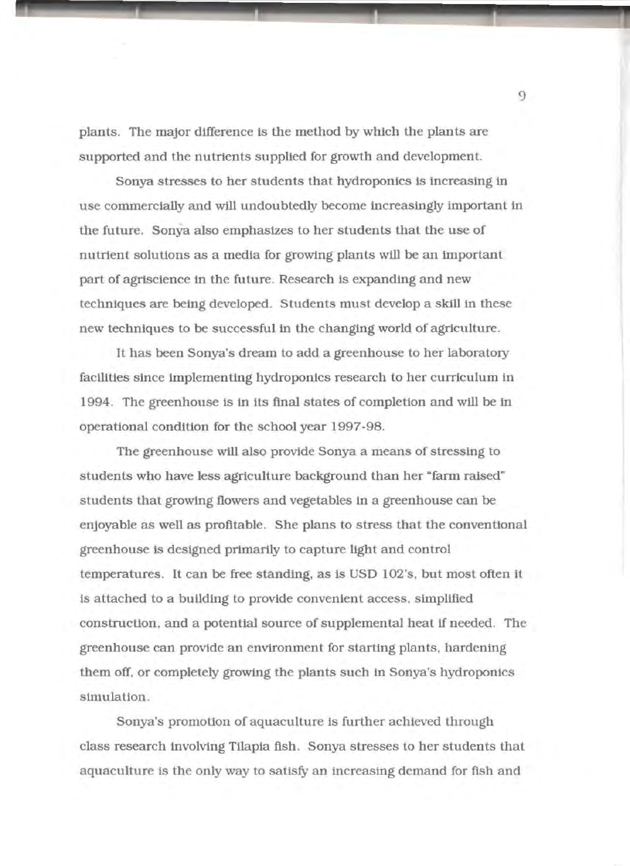plants. The major difference is the method by which the plants are supported and the nutrients supplied for growth and development.

Sonya stresses to her students that hydroponics is increasing in use commercially and will undoubtedly become increasingly important in the future. Sonya also emphasizes to her students that the use of nutrient solutions as a media for growtng plants will be an important part of agrisclence in the future. Research is expanding and new techniques are being developed. Students must develop a skill in these new techniques to be successful in the changing world of agriculture.

It has been Sonya's dream to add a greenhouse to her laboratory facilities since implementing hydroponics research to her curriculum in 1994. The greenhouse iS in its final states of completion and will be in operational condition for the school year 1997-98.

The greenhouse will also provide Sonya a means of stressing to students who have less agriculture background than her "farm raised" students that growing flowers and vegetables in a greenhouse can be enjoyable as well as profitable. She plans to stress that the conventional greenhouse ls designed primarily to capture light and control temperatures. It can be free standing, as is USO 102's, but most often it ts attached to a building to provide convenient access, simplified construction, and a potential source of supplemental heat if needed. The greenhouse can provide an environment for starting plants, hardening them off, or completely growing the plants such in Sonya's hydroponics simulation.

Sonya's promotion of aquaculture is further achieved through class research involving Tilapia fish. Sonya stresses to her students that aquaculture is the only way to satisfy an increasing demand for fish and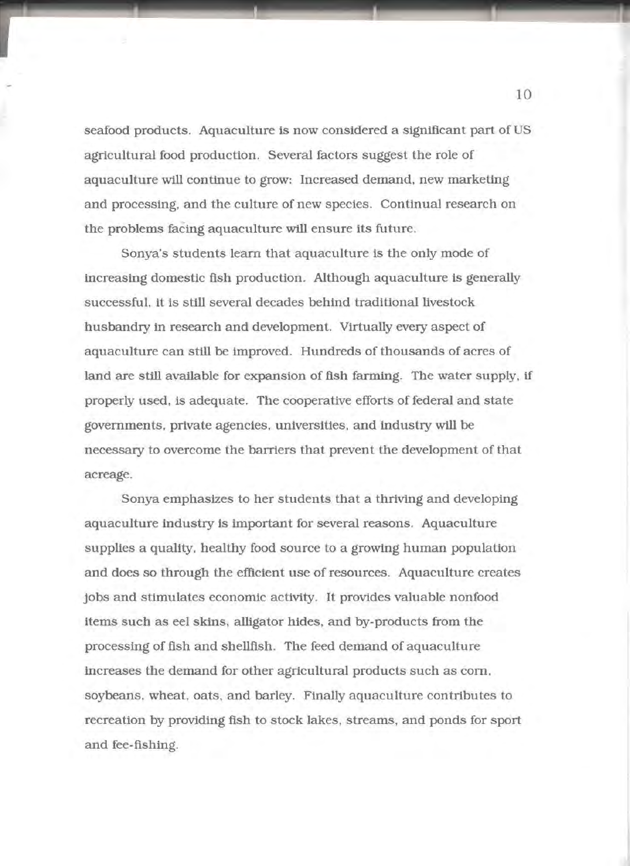seafood products. Aquaculture is now considered a significant part of US agricultural food production. Several factors suggest the role of aquaculture will continue to grow: Increased demand, new marketing and processing, and the culture of new species. Continual research on the problems facing aquaculture will ensure its future.

Sonya's students learn that aquaculture is the only mode of increasing domestic fish production. Although aquaculture 1s generally successful, it is still several decades behind traditional livestock husbandry in research and development. Virtually every aspect of aquaculture can still be improved. Hundreds of thousands of acres of land are still available for expansion of fish farming. The water supply, if properly used, is adequate. The cooperative efforts of federal and state governments, private agencies, universities, and industry will be necessary to overcome the barriers that prevent the development of that acreage.

Sonya emphasizes to her students that a thriving and developing aquaculture industry is important for several reasons. Aquaculture supplies a quality, healthy food source to a growing human population and does so through the efficient use of resources. Aquaculture creates Jobs and stimulates economlc activity. It provides valuable nonfood items such as eel skins, alligator hides, and by-products from the processing of fish and shellfish. The feed demand of aquaculture increases the demand for other agricultural products such as com. soybeans, wheat, oats, and barley. Finally aquaculture contributes to recreation by providing fish to stock lakes, streams, and ponds for sport and fee-fishing.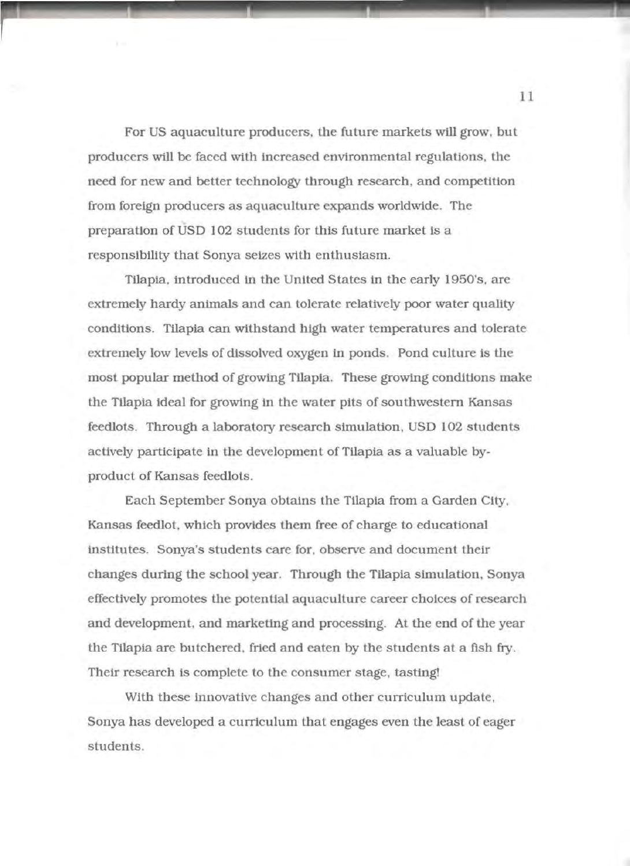For US aquaculture producers, the future markets will grow, but producers will be faced with lncreased environmental regulations, the need for new and better technology through research, and competition from foreign producers as aquaculture expands worldwide. The preparation of USD 102 students for this future market is a responsibility that Sonya seizes with enthusiasm.

Tilapia, introduced ln the United States ln the early 1950's, are extremely hardy animals and can tolerate relatively poor water quality conditions. Tilapia can withstand high water temperatures and tolerate extremely low levels of dissolved oxygen in ponds. Pond culture is the most popular method of growing Tilapia. These growing conditions make the Tilapia ideal for growing in the water pits of southwestern Kansas feedlots. Through a laboratory research simulation, USD 102 students actively participate in the development of Tilapia as a valuable byproduct of Kansas feedlots.

Each September Sonya obtains the Tilapia from a Garden City, Kansas feedlot, which provides them free of charge to educational institutes. Sonya's students care for, observe and document their changes during the school year. Through the Tilapia simulation, Sonya effectively promotes the potential aquaculture career choices of research and development, and marketing and processing. At the end of the year the Tilapia are butchered. fried and eaten by the students at a fish fry. Their research is complete to the consumer stage, tasting!

With these innovative changes and other curriculum update, Sonya has developed a curriculum that engages even the least of eager students.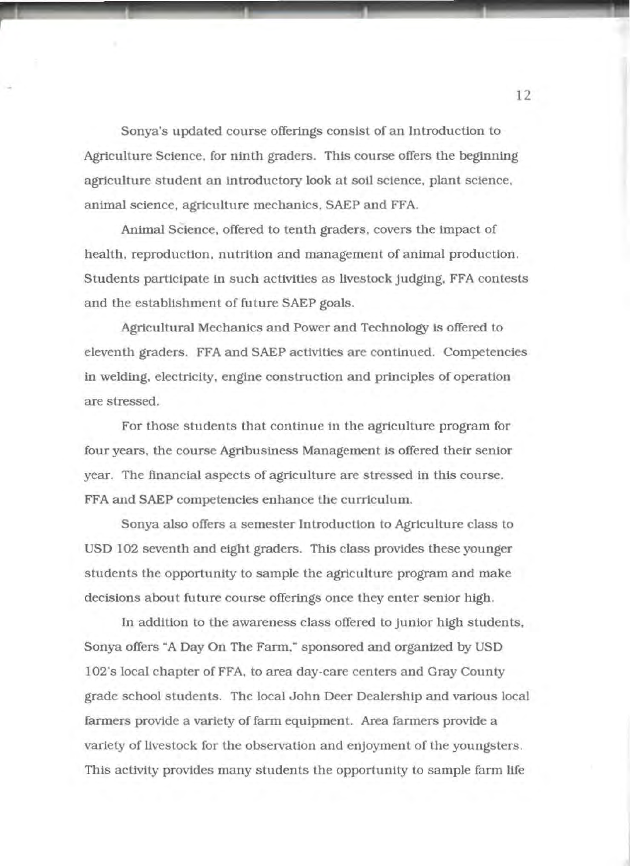Sonya's updated course offerings consist of an Introduction to Agriculture Science, for ninth graders. This course offers the beginning agriculture student an introductory look at soil science, plant science. animal science, agriculture mechanics, SAEP and FFA.

Animal Science, offered to tenth graders, covers the impact of health. reproduction. nutrition and management of animal production. Students participate in such activities as livestock judging, FFA contests and the establishment of future SAEP goals.

Agricultural Mechanics and Power and Technology is offered to eleventh graders. FFA and SAEP activities are continued. Competencies in welding, electricity, engine construction and principles of operation are stressed.

For those students that continue in the agriculture program for four years, the course Agribusiness Management is offered their senior year. The financial aspects of agriculture are stressed in this course. FFA and SAEP competencies enhance the curriculum.

Sonya also offers a semester Introduction to Agriculture class to USO 102 seventh and eight graders. This class provides these younger students the opportunity to sample the agriculture program and make decisions about future course offerings once they enter senior high.

In addition to the awareness class offered to junior high students, Sonya offers "A Day On The Farm," sponsored and organized by USO 102's local chapter of FFA, to area day-care centers and Gray County grade school students. The local John Deer Dealership and various local farmers provide a variety of farm equipment. Area farmers provide a variety of livestock for the observation and enjoyment of the youngsters. This activity provides many students the opportunity to sample farm life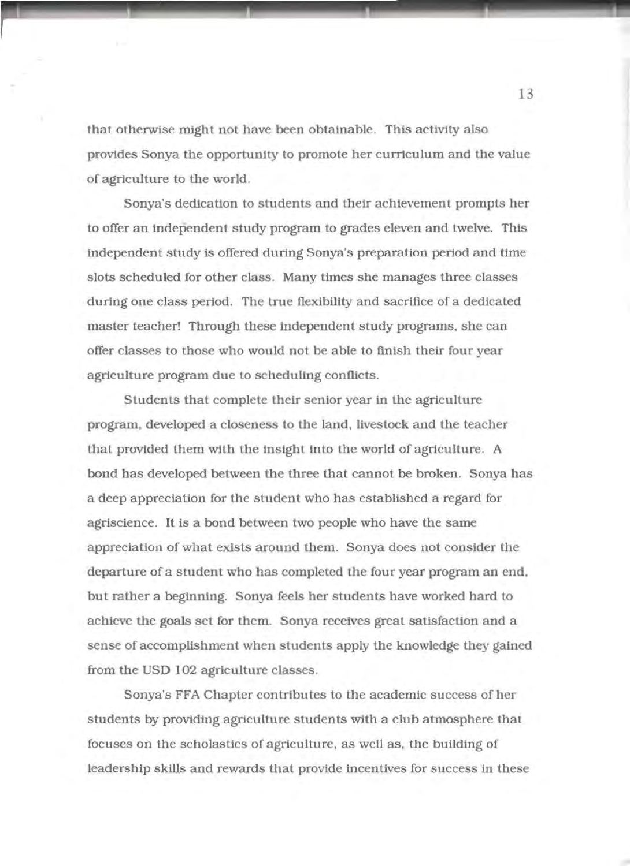that otherwise might not have been obtainable. This activity also provides Sonya the opportunity to promote her curriculum and the value of agriculture to the world.

Sonya's dedication to students and their achievement prompts her to offer an independent study program to grades eleven and twelve. This independent study is offered during Sonya's preparation period and time slots scheduled for other class. Many times she manages three classes during one class period. The true flexibility and sacrifice of a dedicated master teacher! Through these independent study programs, she can offer classes to those who would not be able to finish their four year agriculture program due to scheduling conflicts.

Students that complete their senior year in the agriculture program, developed a closeness to the land, livestock and the teacher that provided them with the insight into the world of agriculture. A bond has developed between the three that cannot be broken. Sonya has a deep appreciation for the student who has established a regard for agrtsclence. It is a bond between two people who have the same appreciation of what exists around them. Sonya does not consider the departure of a student who has completed the four year program an end, but rather a beginning. Sonya feels her students have worked hard to achieve the goals set for them. Sonya receives great satisfaction and a sense of accomplishment when students apply the knowledge they gatned from the USD 102 agriculture classes.

Sonya's FFA Chapter contributes to the academic success of her students by providing agriculture students with a club atmosphere that focuses on the scholastics of agriculture, as well as, the building of leadership skills and rewards that provide incentives for success in these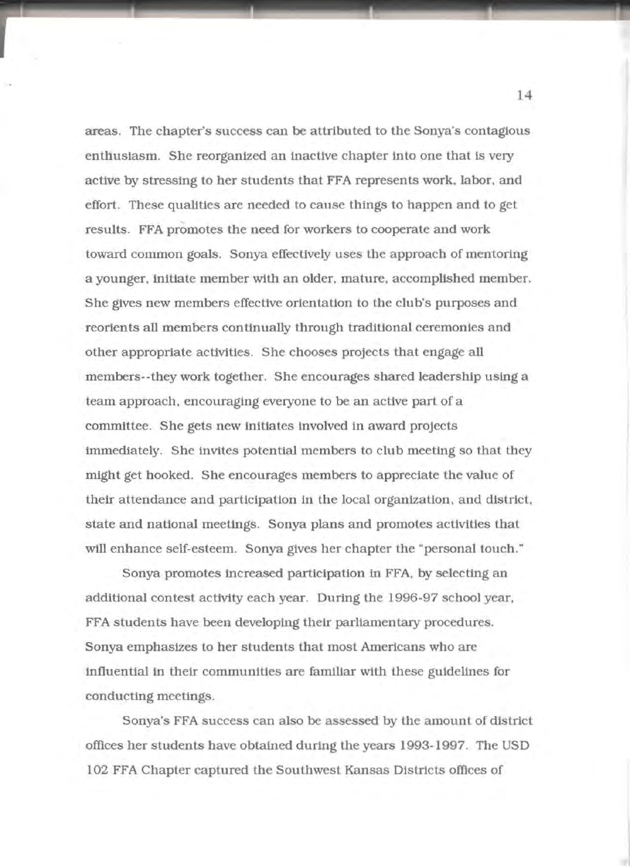areas. The chapter's success can be attributed to the Sonya's contagious enthusiasm. She reorganized an inactive chapter into one that is very active by stressing to her students that FFA represents work, labor, and effort. These qualities are needed to cause things to happen and to get results. FFA promotes the need for workers to cooperate and work toward common goals. Sonya effectively uses the approach of mentoring a younger, initiate member with an older, mature, accomplished member. She gives new members effective orientation to the club's purposes and reorients all members continually through traditional ceremonies and other appropriate activities. She chooses projects that engage all members--they work together. She encourages shared leadership using a team approach, encouraging everyone to be an active part of a committee. She gets new initiates involved in award projects immediately. She invites potential members to club meeting so that they might get hooked. She encourages members to appreciate the value of their attendance and participation in the local organization, and district, state and national meetings. Sonya plans and promotes activities that will enhance self-esteem. Sonya gives her chapter the "personal touch."

Sonya promotes increased participation in FFA, by selecting an additional contest activity each year. During the 1996-97 school year, FFA students have been developing their parliamentary procedures. Sonya emphasizes to her students that most Americans who are influential in their communlties are familiar with these guidelines for conducting meetings.

Sonya's FFA success can also be assessed by the amount of district offices her students have obtained during the years 1993-1997. The USD 102 FFA Chapter captured the Southwest Kansas Districts offices of